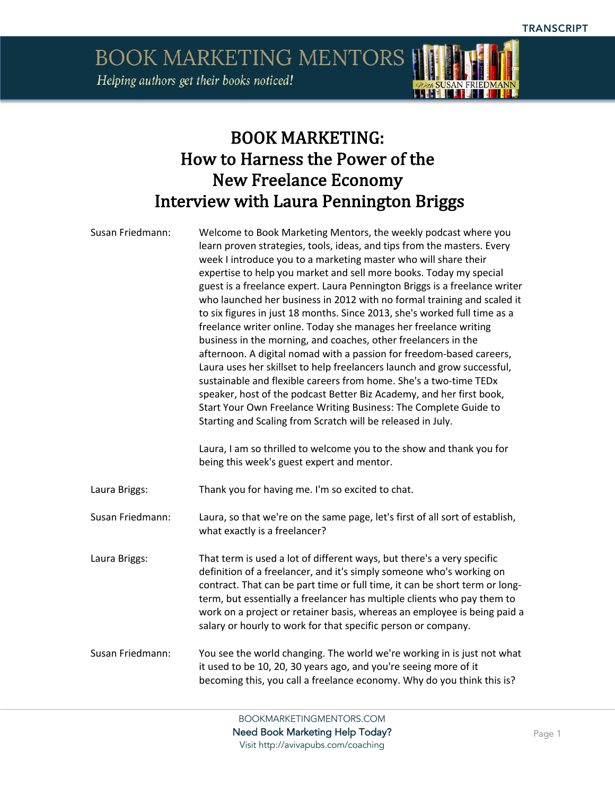

### BOOK MARKETING: How to Harness the Power of the New Freelance Economy Interview with Laura Pennington Briggs

| Susan Friedmann: | Welcome to Book Marketing Mentors, the weekly podcast where you<br>learn proven strategies, tools, ideas, and tips from the masters. Every<br>week I introduce you to a marketing master who will share their<br>expertise to help you market and sell more books. Today my special<br>guest is a freelance expert. Laura Pennington Briggs is a freelance writer<br>who launched her business in 2012 with no formal training and scaled it<br>to six figures in just 18 months. Since 2013, she's worked full time as a<br>freelance writer online. Today she manages her freelance writing<br>business in the morning, and coaches, other freelancers in the<br>afternoon. A digital nomad with a passion for freedom-based careers,<br>Laura uses her skillset to help freelancers launch and grow successful,<br>sustainable and flexible careers from home. She's a two-time TEDx<br>speaker, host of the podcast Better Biz Academy, and her first book,<br>Start Your Own Freelance Writing Business: The Complete Guide to<br>Starting and Scaling from Scratch will be released in July.<br>Laura, I am so thrilled to welcome you to the show and thank you for<br>being this week's guest expert and mentor. |
|------------------|--------------------------------------------------------------------------------------------------------------------------------------------------------------------------------------------------------------------------------------------------------------------------------------------------------------------------------------------------------------------------------------------------------------------------------------------------------------------------------------------------------------------------------------------------------------------------------------------------------------------------------------------------------------------------------------------------------------------------------------------------------------------------------------------------------------------------------------------------------------------------------------------------------------------------------------------------------------------------------------------------------------------------------------------------------------------------------------------------------------------------------------------------------------------------------------------------------------------------|
| Laura Briggs:    | Thank you for having me. I'm so excited to chat.                                                                                                                                                                                                                                                                                                                                                                                                                                                                                                                                                                                                                                                                                                                                                                                                                                                                                                                                                                                                                                                                                                                                                                         |
| Susan Friedmann: | Laura, so that we're on the same page, let's first of all sort of establish,<br>what exactly is a freelancer?                                                                                                                                                                                                                                                                                                                                                                                                                                                                                                                                                                                                                                                                                                                                                                                                                                                                                                                                                                                                                                                                                                            |
| Laura Briggs:    | That term is used a lot of different ways, but there's a very specific<br>definition of a freelancer, and it's simply someone who's working on<br>contract. That can be part time or full time, it can be short term or long-<br>term, but essentially a freelancer has multiple clients who pay them to<br>work on a project or retainer basis, whereas an employee is being paid a<br>salary or hourly to work for that specific person or company.                                                                                                                                                                                                                                                                                                                                                                                                                                                                                                                                                                                                                                                                                                                                                                    |
| Susan Friedmann: | You see the world changing. The world we're working in is just not what<br>it used to be 10, 20, 30 years ago, and you're seeing more of it<br>becoming this, you call a freelance economy. Why do you think this is?                                                                                                                                                                                                                                                                                                                                                                                                                                                                                                                                                                                                                                                                                                                                                                                                                                                                                                                                                                                                    |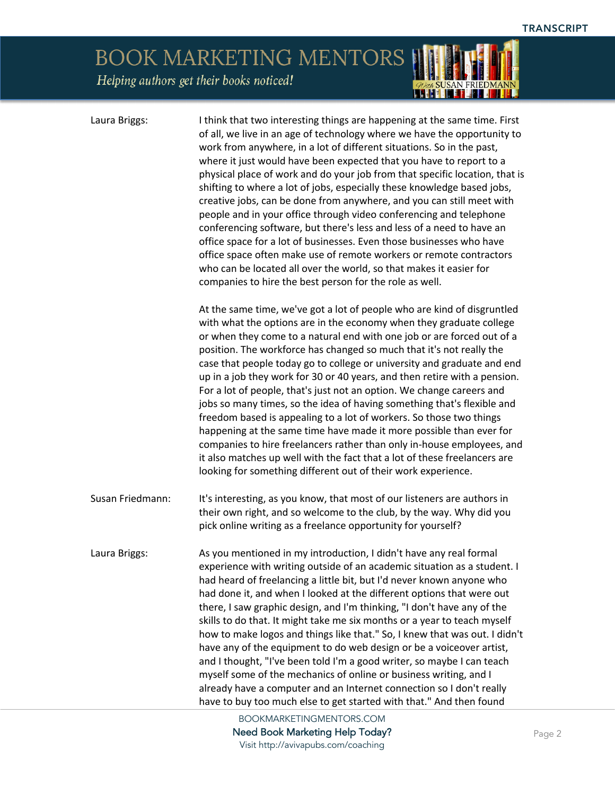| ,我们也不会有什么。""我们的人,我们也不会有什么?""我们的人,我们也不会有什么?""我们的人,我们也不会有什么?""我们的人,我们也不会有什么?""我们的人 |  |  |
|----------------------------------------------------------------------------------|--|--|
|                                                                                  |  |  |
|                                                                                  |  |  |
|                                                                                  |  |  |
|                                                                                  |  |  |

Laura Briggs: I think that two interesting things are happening at the same time. First of all, we live in an age of technology where we have the opportunity to work from anywhere, in a lot of different situations. So in the past, where it just would have been expected that you have to report to a physical place of work and do your job from that specific location, that is shifting to where a lot of jobs, especially these knowledge based jobs, creative jobs, can be done from anywhere, and you can still meet with people and in your office through video conferencing and telephone conferencing software, but there's less and less of a need to have an office space for a lot of businesses. Even those businesses who have office space often make use of remote workers or remote contractors who can be located all over the world, so that makes it easier for companies to hire the best person for the role as well.

> At the same time, we've got a lot of people who are kind of disgruntled with what the options are in the economy when they graduate college or when they come to a natural end with one job or are forced out of a position. The workforce has changed so much that it's not really the case that people today go to college or university and graduate and end up in a job they work for 30 or 40 years, and then retire with a pension. For a lot of people, that's just not an option. We change careers and jobs so many times, so the idea of having something that's flexible and freedom based is appealing to a lot of workers. So those two things happening at the same time have made it more possible than ever for companies to hire freelancers rather than only in-house employees, and it also matches up well with the fact that a lot of these freelancers are looking for something different out of their work experience.

Susan Friedmann: It's interesting, as you know, that most of our listeners are authors in their own right, and so welcome to the club, by the way. Why did you pick online writing as a freelance opportunity for yourself?

Laura Briggs: As you mentioned in my introduction, I didn't have any real formal experience with writing outside of an academic situation as a student. I had heard of freelancing a little bit, but I'd never known anyone who had done it, and when I looked at the different options that were out there, I saw graphic design, and I'm thinking, "I don't have any of the skills to do that. It might take me six months or a year to teach myself how to make logos and things like that." So, I knew that was out. I didn't have any of the equipment to do web design or be a voiceover artist, and I thought, "I've been told I'm a good writer, so maybe I can teach myself some of the mechanics of online or business writing, and I already have a computer and an Internet connection so I don't really have to buy too much else to get started with that." And then found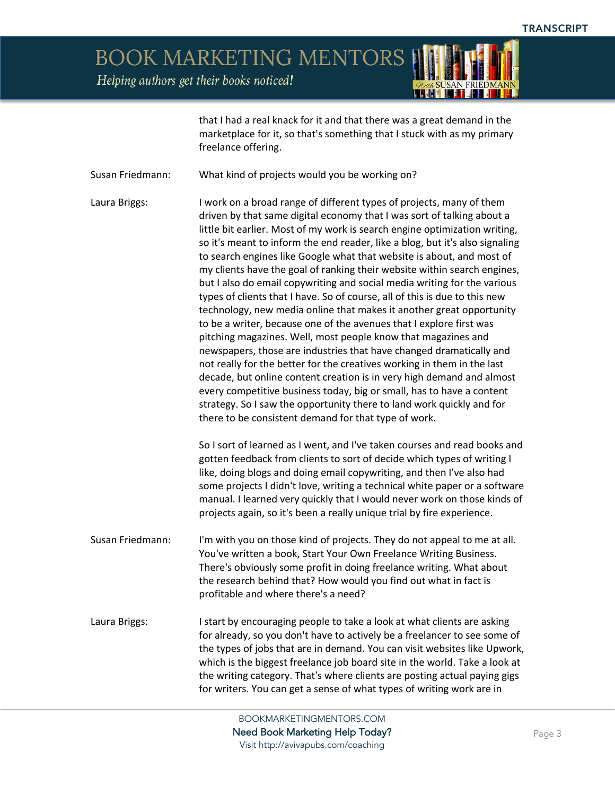**BOOK MARKETING MENTORS** 



Helping authors get their books noticed!

that I had a real knack for it and that there was a great demand in the marketplace for it, so that's something that I stuck with as my primary freelance offering.

Susan Friedmann: What kind of projects would you be working on?

Laura Briggs: I work on a broad range of different types of projects, many of them driven by that same digital economy that I was sort of talking about a little bit earlier. Most of my work is search engine optimization writing, so it's meant to inform the end reader, like a blog, but it's also signaling to search engines like Google what that website is about, and most of my clients have the goal of ranking their website within search engines, but I also do email copywriting and social media writing for the various types of clients that I have. So of course, all of this is due to this new technology, new media online that makes it another great opportunity to be a writer, because one of the avenues that I explore first was pitching magazines. Well, most people know that magazines and newspapers, those are industries that have changed dramatically and not really for the better for the creatives working in them in the last decade, but online content creation is in very high demand and almost every competitive business today, big or small, has to have a content strategy. So I saw the opportunity there to land work quickly and for there to be consistent demand for that type of work.

> So I sort of learned as I went, and I've taken courses and read books and gotten feedback from clients to sort of decide which types of writing I like, doing blogs and doing email copywriting, and then I've also had some projects I didn't love, writing a technical white paper or a software manual. I learned very quickly that I would never work on those kinds of projects again, so it's been a really unique trial by fire experience.

Susan Friedmann: I'm with you on those kind of projects. They do not appeal to me at all. You've written a book, Start Your Own Freelance Writing Business. There's obviously some profit in doing freelance writing. What about the research behind that? How would you find out what in fact is profitable and where there's a need?

Laura Briggs: I start by encouraging people to take a look at what clients are asking for already, so you don't have to actively be a freelancer to see some of the types of jobs that are in demand. You can visit websites like Upwork, which is the biggest freelance job board site in the world. Take a look at the writing category. That's where clients are posting actual paying gigs for writers. You can get a sense of what types of writing work are in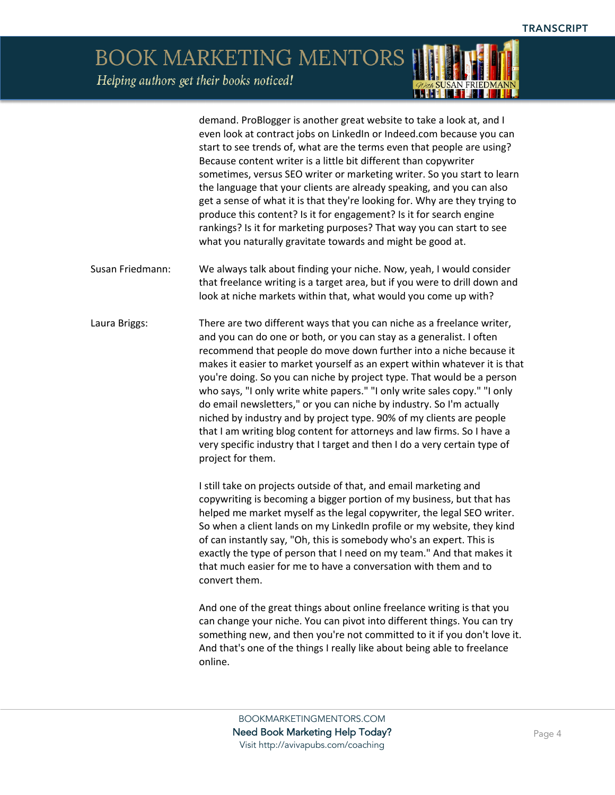> demand. ProBlogger is another great website to take a look at, and I even look at contract jobs on LinkedIn or Indeed.com because you can start to see trends of, what are the terms even that people are using? Because content writer is a little bit different than copywriter sometimes, versus SEO writer or marketing writer. So you start to learn the language that your clients are already speaking, and you can also get a sense of what it is that they're looking for. Why are they trying to produce this content? Is it for engagement? Is it for search engine rankings? Is it for marketing purposes? That way you can start to see what you naturally gravitate towards and might be good at.

- Susan Friedmann: We always talk about finding your niche. Now, yeah, I would consider that freelance writing is a target area, but if you were to drill down and look at niche markets within that, what would you come up with?
- Laura Briggs: There are two different ways that you can niche as a freelance writer, and you can do one or both, or you can stay as a generalist. I often recommend that people do move down further into a niche because it makes it easier to market yourself as an expert within whatever it is that you're doing. So you can niche by project type. That would be a person who says, "I only write white papers." "I only write sales copy." "I only do email newsletters," or you can niche by industry. So I'm actually niched by industry and by project type. 90% of my clients are people that I am writing blog content for attorneys and law firms. So I have a very specific industry that I target and then I do a very certain type of project for them.

I still take on projects outside of that, and email marketing and copywriting is becoming a bigger portion of my business, but that has helped me market myself as the legal copywriter, the legal SEO writer. So when a client lands on my LinkedIn profile or my website, they kind of can instantly say, "Oh, this is somebody who's an expert. This is exactly the type of person that I need on my team." And that makes it that much easier for me to have a conversation with them and to convert them.

And one of the great things about online freelance writing is that you can change your niche. You can pivot into different things. You can try something new, and then you're not committed to it if you don't love it. And that's one of the things I really like about being able to freelance online.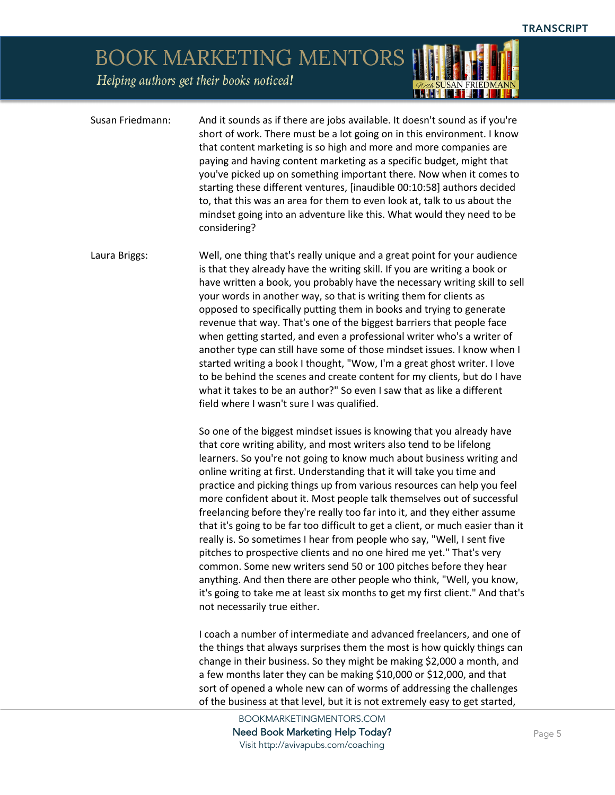*QUEE* SUSAN FRIEDMANN

# BOOK MARKETING MENTORS

Helping authors get their books noticed!

| Susan Friedmann: | And it sounds as if there are jobs available. It doesn't sound as if you're<br>short of work. There must be a lot going on in this environment. I know<br>that content marketing is so high and more and more companies are<br>paying and having content marketing as a specific budget, might that<br>you've picked up on something important there. Now when it comes to<br>starting these different ventures, [inaudible 00:10:58] authors decided<br>to, that this was an area for them to even look at, talk to us about the<br>mindset going into an adventure like this. What would they need to be<br>considering?                                                                                                                                                                                                                                                                                                                                                                                                           |
|------------------|--------------------------------------------------------------------------------------------------------------------------------------------------------------------------------------------------------------------------------------------------------------------------------------------------------------------------------------------------------------------------------------------------------------------------------------------------------------------------------------------------------------------------------------------------------------------------------------------------------------------------------------------------------------------------------------------------------------------------------------------------------------------------------------------------------------------------------------------------------------------------------------------------------------------------------------------------------------------------------------------------------------------------------------|
| Laura Briggs:    | Well, one thing that's really unique and a great point for your audience<br>is that they already have the writing skill. If you are writing a book or<br>have written a book, you probably have the necessary writing skill to sell<br>your words in another way, so that is writing them for clients as<br>opposed to specifically putting them in books and trying to generate<br>revenue that way. That's one of the biggest barriers that people face<br>when getting started, and even a professional writer who's a writer of<br>another type can still have some of those mindset issues. I know when I<br>started writing a book I thought, "Wow, I'm a great ghost writer. I love<br>to be behind the scenes and create content for my clients, but do I have<br>what it takes to be an author?" So even I saw that as like a different<br>field where I wasn't sure I was qualified.                                                                                                                                       |
|                  | So one of the biggest mindset issues is knowing that you already have<br>that core writing ability, and most writers also tend to be lifelong<br>learners. So you're not going to know much about business writing and<br>online writing at first. Understanding that it will take you time and<br>practice and picking things up from various resources can help you feel<br>more confident about it. Most people talk themselves out of successful<br>freelancing before they're really too far into it, and they either assume<br>that it's going to be far too difficult to get a client, or much easier than it<br>really is. So sometimes I hear from people who say, "Well, I sent five<br>pitches to prospective clients and no one hired me yet." That's very<br>common. Some new writers send 50 or 100 pitches before they hear<br>anything. And then there are other people who think, "Well, you know,<br>it's going to take me at least six months to get my first client." And that's<br>not necessarily true either. |
|                  | I coach a number of intermediate and advanced freelancers, and one of<br>the things that always surprises them the most is how quickly things can<br>change in their business. So they might be making \$2,000 a month, and<br>a few months later they can be making \$10,000 or \$12,000, and that<br>sort of opened a whole new can of worms of addressing the challenges<br>of the business at that level, but it is not extremely easy to get started,                                                                                                                                                                                                                                                                                                                                                                                                                                                                                                                                                                           |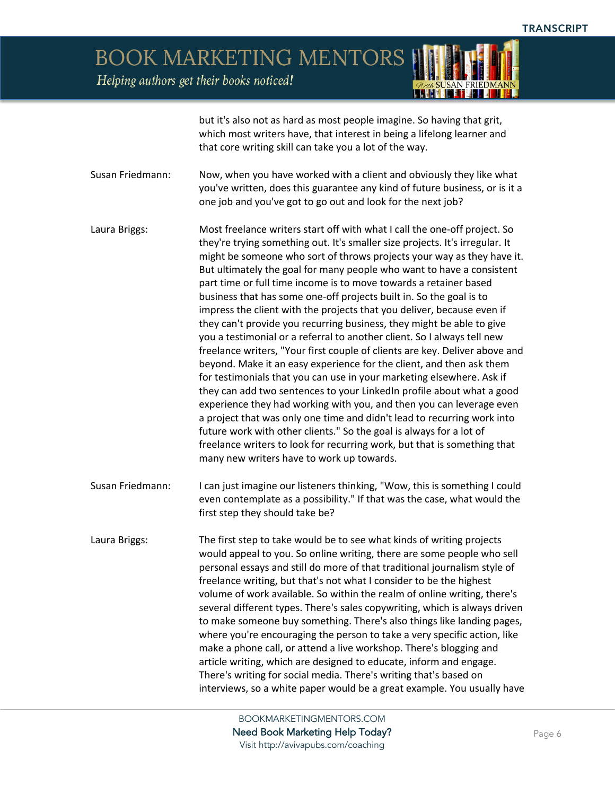

but it's also not as hard as most people imagine. So having that grit, which most writers have, that interest in being a lifelong learner and that core writing skill can take you a lot of the way.

- Susan Friedmann: Now, when you have worked with a client and obviously they like what you've written, does this guarantee any kind of future business, or is it a one job and you've got to go out and look for the next job?
- Laura Briggs: Most freelance writers start off with what I call the one-off project. So they're trying something out. It's smaller size projects. It's irregular. It might be someone who sort of throws projects your way as they have it. But ultimately the goal for many people who want to have a consistent part time or full time income is to move towards a retainer based business that has some one-off projects built in. So the goal is to impress the client with the projects that you deliver, because even if they can't provide you recurring business, they might be able to give you a testimonial or a referral to another client. So I always tell new freelance writers, "Your first couple of clients are key. Deliver above and beyond. Make it an easy experience for the client, and then ask them for testimonials that you can use in your marketing elsewhere. Ask if they can add two sentences to your LinkedIn profile about what a good experience they had working with you, and then you can leverage even a project that was only one time and didn't lead to recurring work into future work with other clients." So the goal is always for a lot of freelance writers to look for recurring work, but that is something that many new writers have to work up towards.
- Susan Friedmann: I can just imagine our listeners thinking, "Wow, this is something I could even contemplate as a possibility." If that was the case, what would the first step they should take be?
- Laura Briggs: The first step to take would be to see what kinds of writing projects would appeal to you. So online writing, there are some people who sell personal essays and still do more of that traditional journalism style of freelance writing, but that's not what I consider to be the highest volume of work available. So within the realm of online writing, there's several different types. There's sales copywriting, which is always driven to make someone buy something. There's also things like landing pages, where you're encouraging the person to take a very specific action, like make a phone call, or attend a live workshop. There's blogging and article writing, which are designed to educate, inform and engage. There's writing for social media. There's writing that's based on interviews, so a white paper would be a great example. You usually have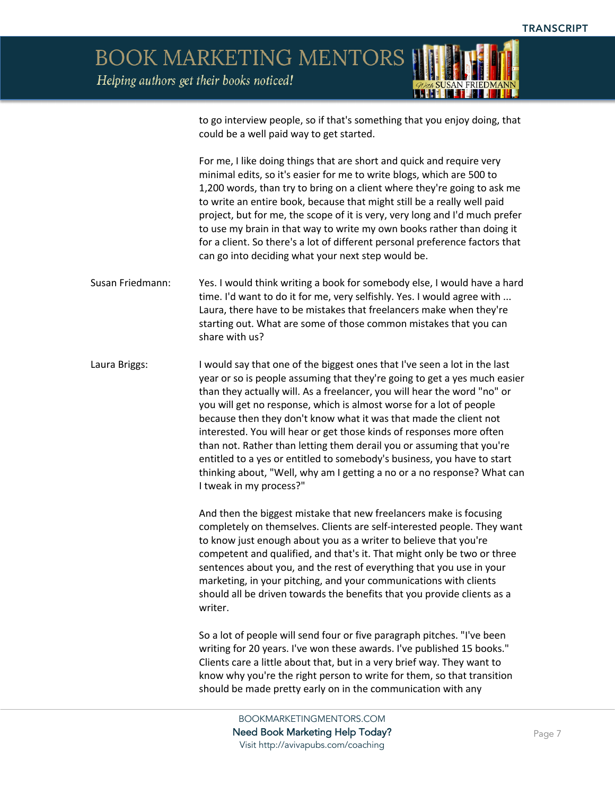

to go interview people, so if that's something that you enjoy doing, that could be a well paid way to get started.

For me, I like doing things that are short and quick and require very minimal edits, so it's easier for me to write blogs, which are 500 to 1,200 words, than try to bring on a client where they're going to ask me to write an entire book, because that might still be a really well paid project, but for me, the scope of it is very, very long and I'd much prefer to use my brain in that way to write my own books rather than doing it for a client. So there's a lot of different personal preference factors that can go into deciding what your next step would be.

Susan Friedmann: Yes. I would think writing a book for somebody else, I would have a hard time. I'd want to do it for me, very selfishly. Yes. I would agree with ... Laura, there have to be mistakes that freelancers make when they're starting out. What are some of those common mistakes that you can share with us?

Laura Briggs: I would say that one of the biggest ones that I've seen a lot in the last year or so is people assuming that they're going to get a yes much easier than they actually will. As a freelancer, you will hear the word "no" or you will get no response, which is almost worse for a lot of people because then they don't know what it was that made the client not interested. You will hear or get those kinds of responses more often than not. Rather than letting them derail you or assuming that you're entitled to a yes or entitled to somebody's business, you have to start thinking about, "Well, why am I getting a no or a no response? What can I tweak in my process?"

> And then the biggest mistake that new freelancers make is focusing completely on themselves. Clients are self-interested people. They want to know just enough about you as a writer to believe that you're competent and qualified, and that's it. That might only be two or three sentences about you, and the rest of everything that you use in your marketing, in your pitching, and your communications with clients should all be driven towards the benefits that you provide clients as a writer.

So a lot of people will send four or five paragraph pitches. "I've been writing for 20 years. I've won these awards. I've published 15 books." Clients care a little about that, but in a very brief way. They want to know why you're the right person to write for them, so that transition should be made pretty early on in the communication with any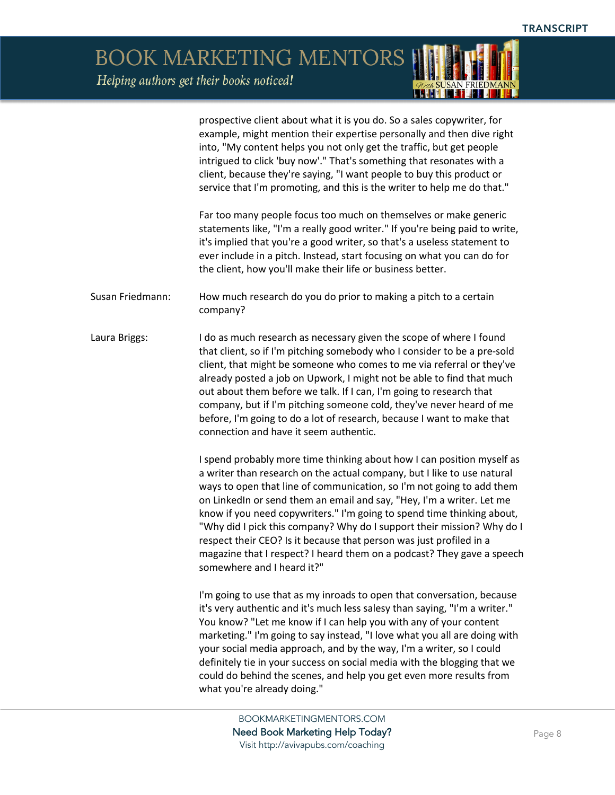**BOOK MARKETING MENTORS** 

Helping authors get their books noticed!

prospective client about what it is you do. So a sales copywriter, for example, might mention their expertise personally and then dive right into, "My content helps you not only get the traffic, but get people intrigued to click 'buy now'." That's something that resonates with a client, because they're saying, "I want people to buy this product or service that I'm promoting, and this is the writer to help me do that."

Far too many people focus too much on themselves or make generic statements like, "I'm a really good writer." If you're being paid to write, it's implied that you're a good writer, so that's a useless statement to ever include in a pitch. Instead, start focusing on what you can do for the client, how you'll make their life or business better.

- Susan Friedmann: How much research do you do prior to making a pitch to a certain company?
- Laura Briggs: I do as much research as necessary given the scope of where I found that client, so if I'm pitching somebody who I consider to be a pre-sold client, that might be someone who comes to me via referral or they've already posted a job on Upwork, I might not be able to find that much out about them before we talk. If I can, I'm going to research that company, but if I'm pitching someone cold, they've never heard of me before, I'm going to do a lot of research, because I want to make that connection and have it seem authentic.

I spend probably more time thinking about how I can position myself as a writer than research on the actual company, but I like to use natural ways to open that line of communication, so I'm not going to add them on LinkedIn or send them an email and say, "Hey, I'm a writer. Let me know if you need copywriters." I'm going to spend time thinking about, "Why did I pick this company? Why do I support their mission? Why do I respect their CEO? Is it because that person was just profiled in a magazine that I respect? I heard them on a podcast? They gave a speech somewhere and I heard it?"

I'm going to use that as my inroads to open that conversation, because it's very authentic and it's much less salesy than saying, "I'm a writer." You know? "Let me know if I can help you with any of your content marketing." I'm going to say instead, "I love what you all are doing with your social media approach, and by the way, I'm a writer, so I could definitely tie in your success on social media with the blogging that we could do behind the scenes, and help you get even more results from what you're already doing."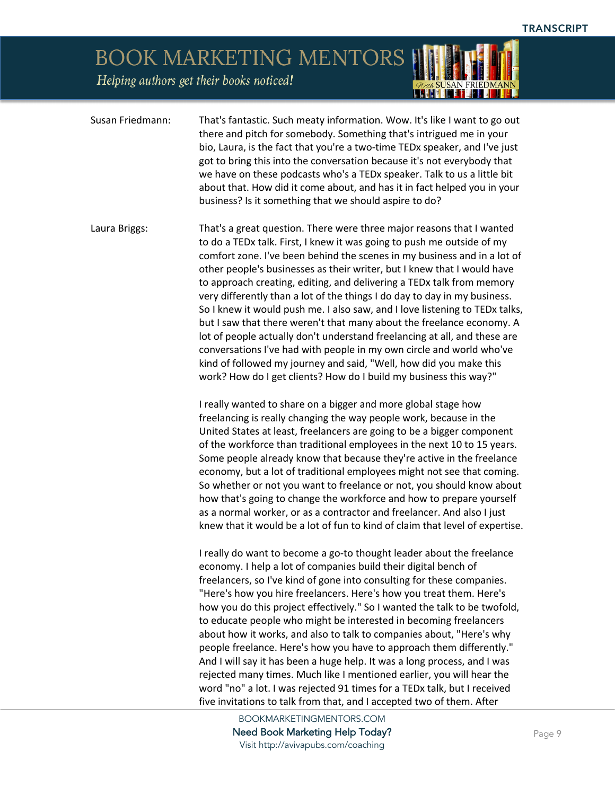## BOOK MARKETING MENTORS *QUEE* SUSAN FRIEDMANN

Helping authors get their books noticed!

| Susan Friedmann: | That's fantastic. Such meaty information. Wow. It's like I want to go out<br>there and pitch for somebody. Something that's intrigued me in your<br>bio, Laura, is the fact that you're a two-time TEDx speaker, and I've just<br>got to bring this into the conversation because it's not everybody that<br>we have on these podcasts who's a TEDx speaker. Talk to us a little bit<br>about that. How did it come about, and has it in fact helped you in your<br>business? Is it something that we should aspire to do?                                                                                                                                                                                                                                                                                                                                                                                           |
|------------------|----------------------------------------------------------------------------------------------------------------------------------------------------------------------------------------------------------------------------------------------------------------------------------------------------------------------------------------------------------------------------------------------------------------------------------------------------------------------------------------------------------------------------------------------------------------------------------------------------------------------------------------------------------------------------------------------------------------------------------------------------------------------------------------------------------------------------------------------------------------------------------------------------------------------|
| Laura Briggs:    | That's a great question. There were three major reasons that I wanted<br>to do a TEDx talk. First, I knew it was going to push me outside of my<br>comfort zone. I've been behind the scenes in my business and in a lot of<br>other people's businesses as their writer, but I knew that I would have<br>to approach creating, editing, and delivering a TEDx talk from memory<br>very differently than a lot of the things I do day to day in my business.<br>So I knew it would push me. I also saw, and I love listening to TEDx talks,<br>but I saw that there weren't that many about the freelance economy. A<br>lot of people actually don't understand freelancing at all, and these are<br>conversations I've had with people in my own circle and world who've<br>kind of followed my journey and said, "Well, how did you make this<br>work? How do I get clients? How do I build my business this way?" |
|                  | I really wanted to share on a bigger and more global stage how<br>freelancing is really changing the way people work, because in the<br>United States at least, freelancers are going to be a bigger component<br>of the workforce than traditional employees in the next 10 to 15 years.<br>Some people already know that because they're active in the freelance<br>economy, but a lot of traditional employees might not see that coming.<br>So whether or not you want to freelance or not, you should know about<br>how that's going to change the workforce and how to prepare yourself<br>as a normal worker, or as a contractor and freelancer. And also I just<br>knew that it would be a lot of fun to kind of claim that level of expertise.                                                                                                                                                              |
|                  | I really do want to become a go-to thought leader about the freelance<br>economy. I help a lot of companies build their digital bench of<br>freelancers, so I've kind of gone into consulting for these companies.<br>"Here's how you hire freelancers. Here's how you treat them. Here's<br>how you do this project effectively." So I wanted the talk to be twofold,<br>to educate people who might be interested in becoming freelancers<br>about how it works, and also to talk to companies about, "Here's why<br>people freelance. Here's how you have to approach them differently."<br>And I will say it has been a huge help. It was a long process, and I was<br>rejected many times. Much like I mentioned earlier, you will hear the<br>word "no" a lot. I was rejected 91 times for a TEDx talk, but I received<br>five invitations to talk from that, and I accepted two of them. After                |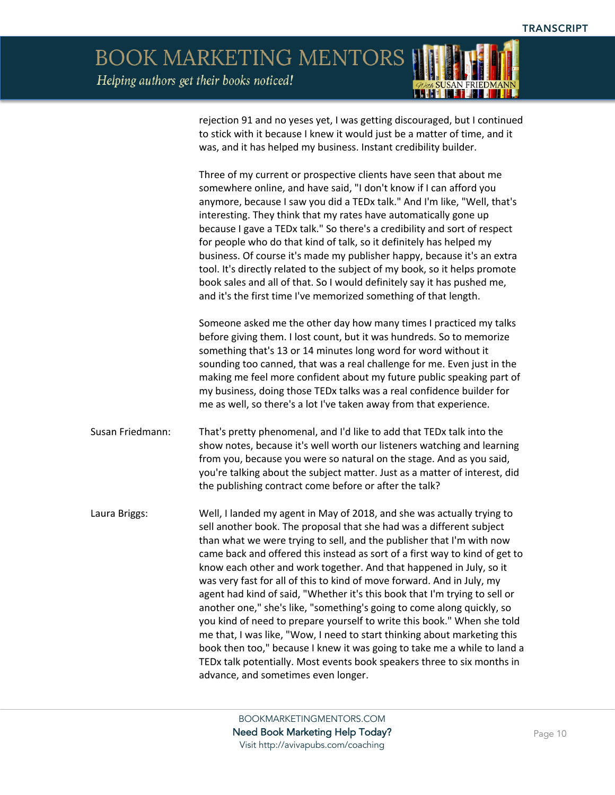

rejection 91 and no yeses yet, I was getting discouraged, but I continued to stick with it because I knew it would just be a matter of time, and it was, and it has helped my business. Instant credibility builder.

Three of my current or prospective clients have seen that about me somewhere online, and have said, "I don't know if I can afford you anymore, because I saw you did a TEDx talk." And I'm like, "Well, that's interesting. They think that my rates have automatically gone up because I gave a TEDx talk." So there's a credibility and sort of respect for people who do that kind of talk, so it definitely has helped my business. Of course it's made my publisher happy, because it's an extra tool. It's directly related to the subject of my book, so it helps promote book sales and all of that. So I would definitely say it has pushed me, and it's the first time I've memorized something of that length.

Someone asked me the other day how many times I practiced my talks before giving them. I lost count, but it was hundreds. So to memorize something that's 13 or 14 minutes long word for word without it sounding too canned, that was a real challenge for me. Even just in the making me feel more confident about my future public speaking part of my business, doing those TEDx talks was a real confidence builder for me as well, so there's a lot I've taken away from that experience.

Susan Friedmann: That's pretty phenomenal, and I'd like to add that TEDx talk into the show notes, because it's well worth our listeners watching and learning from you, because you were so natural on the stage. And as you said, you're talking about the subject matter. Just as a matter of interest, did the publishing contract come before or after the talk?

Laura Briggs: Well, I landed my agent in May of 2018, and she was actually trying to sell another book. The proposal that she had was a different subject than what we were trying to sell, and the publisher that I'm with now came back and offered this instead as sort of a first way to kind of get to know each other and work together. And that happened in July, so it was very fast for all of this to kind of move forward. And in July, my agent had kind of said, "Whether it's this book that I'm trying to sell or another one," she's like, "something's going to come along quickly, so you kind of need to prepare yourself to write this book." When she told me that, I was like, "Wow, I need to start thinking about marketing this book then too," because I knew it was going to take me a while to land a TEDx talk potentially. Most events book speakers three to six months in advance, and sometimes even longer.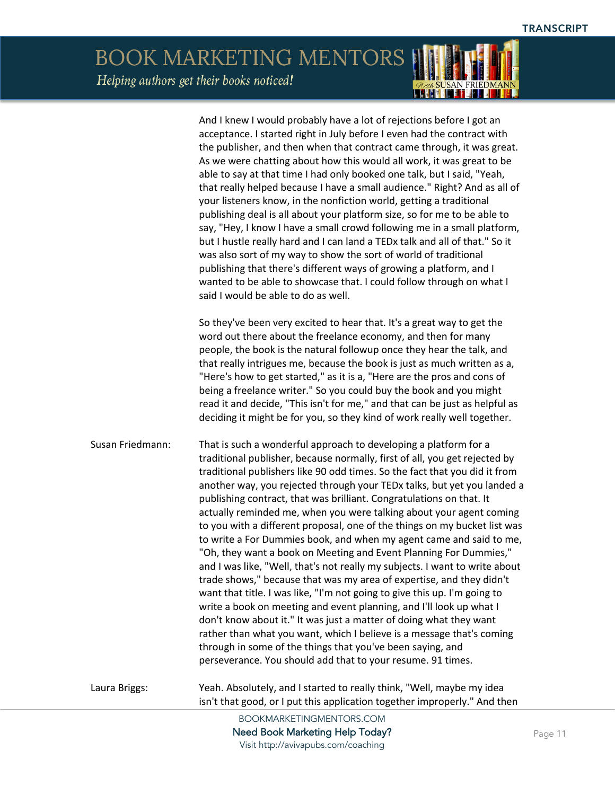#### BOOK MARKETING MENTORS Helping authors get their books noticed! *QUEE* SUSAN FRIEDMANN

|                  | And I knew I would probably have a lot of rejections before I got an<br>acceptance. I started right in July before I even had the contract with<br>the publisher, and then when that contract came through, it was great.<br>As we were chatting about how this would all work, it was great to be<br>able to say at that time I had only booked one talk, but I said, "Yeah,<br>that really helped because I have a small audience." Right? And as all of<br>your listeners know, in the nonfiction world, getting a traditional<br>publishing deal is all about your platform size, so for me to be able to<br>say, "Hey, I know I have a small crowd following me in a small platform,<br>but I hustle really hard and I can land a TEDx talk and all of that." So it<br>was also sort of my way to show the sort of world of traditional<br>publishing that there's different ways of growing a platform, and I<br>wanted to be able to showcase that. I could follow through on what I<br>said I would be able to do as well.                                                                                                                                                                                                                                     |
|------------------|------------------------------------------------------------------------------------------------------------------------------------------------------------------------------------------------------------------------------------------------------------------------------------------------------------------------------------------------------------------------------------------------------------------------------------------------------------------------------------------------------------------------------------------------------------------------------------------------------------------------------------------------------------------------------------------------------------------------------------------------------------------------------------------------------------------------------------------------------------------------------------------------------------------------------------------------------------------------------------------------------------------------------------------------------------------------------------------------------------------------------------------------------------------------------------------------------------------------------------------------------------------------|
|                  | So they've been very excited to hear that. It's a great way to get the<br>word out there about the freelance economy, and then for many<br>people, the book is the natural followup once they hear the talk, and<br>that really intrigues me, because the book is just as much written as a,<br>"Here's how to get started," as it is a, "Here are the pros and cons of<br>being a freelance writer." So you could buy the book and you might<br>read it and decide, "This isn't for me," and that can be just as helpful as<br>deciding it might be for you, so they kind of work really well together.                                                                                                                                                                                                                                                                                                                                                                                                                                                                                                                                                                                                                                                               |
| Susan Friedmann: | That is such a wonderful approach to developing a platform for a<br>traditional publisher, because normally, first of all, you get rejected by<br>traditional publishers like 90 odd times. So the fact that you did it from<br>another way, you rejected through your TEDx talks, but yet you landed a<br>publishing contract, that was brilliant. Congratulations on that. It<br>actually reminded me, when you were talking about your agent coming<br>to you with a different proposal, one of the things on my bucket list was<br>to write a For Dummies book, and when my agent came and said to me,<br>"Oh, they want a book on Meeting and Event Planning For Dummies,"<br>and I was like, "Well, that's not really my subjects. I want to write about<br>trade shows," because that was my area of expertise, and they didn't<br>want that title. I was like, "I'm not going to give this up. I'm going to<br>write a book on meeting and event planning, and I'll look up what I<br>don't know about it." It was just a matter of doing what they want<br>rather than what you want, which I believe is a message that's coming<br>through in some of the things that you've been saying, and<br>perseverance. You should add that to your resume. 91 times. |
| Laura Briggs:    | Yeah. Absolutely, and I started to really think, "Well, maybe my idea<br>isn't that good, or I put this application together improperly." And then                                                                                                                                                                                                                                                                                                                                                                                                                                                                                                                                                                                                                                                                                                                                                                                                                                                                                                                                                                                                                                                                                                                     |
|                  | BOOKMARKETINGMENTORS.COM                                                                                                                                                                                                                                                                                                                                                                                                                                                                                                                                                                                                                                                                                                                                                                                                                                                                                                                                                                                                                                                                                                                                                                                                                                               |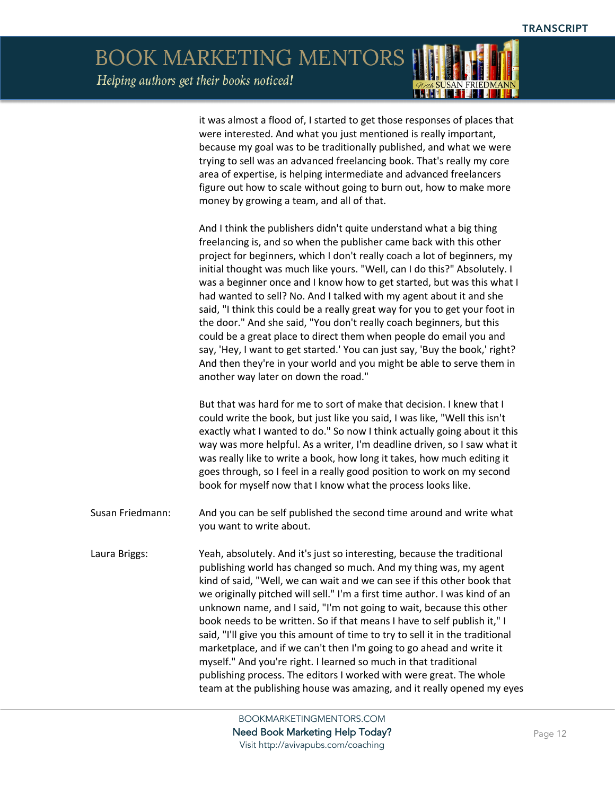*ODEA SUSAN FRIEDMANN* 

BOOK MARKETING MENTORS Helping authors get their books noticed!

|                  | it was almost a flood of, I started to get those responses of places that<br>were interested. And what you just mentioned is really important,<br>because my goal was to be traditionally published, and what we were<br>trying to sell was an advanced freelancing book. That's really my core<br>area of expertise, is helping intermediate and advanced freelancers<br>figure out how to scale without going to burn out, how to make more<br>money by growing a team, and all of that.                                                                                                                                                                                                                                                                                                                                                                                        |
|------------------|-----------------------------------------------------------------------------------------------------------------------------------------------------------------------------------------------------------------------------------------------------------------------------------------------------------------------------------------------------------------------------------------------------------------------------------------------------------------------------------------------------------------------------------------------------------------------------------------------------------------------------------------------------------------------------------------------------------------------------------------------------------------------------------------------------------------------------------------------------------------------------------|
|                  | And I think the publishers didn't quite understand what a big thing<br>freelancing is, and so when the publisher came back with this other<br>project for beginners, which I don't really coach a lot of beginners, my<br>initial thought was much like yours. "Well, can I do this?" Absolutely. I<br>was a beginner once and I know how to get started, but was this what I<br>had wanted to sell? No. And I talked with my agent about it and she<br>said, "I think this could be a really great way for you to get your foot in<br>the door." And she said, "You don't really coach beginners, but this<br>could be a great place to direct them when people do email you and<br>say, 'Hey, I want to get started.' You can just say, 'Buy the book,' right?<br>And then they're in your world and you might be able to serve them in<br>another way later on down the road." |
|                  | But that was hard for me to sort of make that decision. I knew that I<br>could write the book, but just like you said, I was like, "Well this isn't<br>exactly what I wanted to do." So now I think actually going about it this<br>way was more helpful. As a writer, I'm deadline driven, so I saw what it<br>was really like to write a book, how long it takes, how much editing it<br>goes through, so I feel in a really good position to work on my second<br>book for myself now that I know what the process looks like.                                                                                                                                                                                                                                                                                                                                                 |
| Susan Friedmann: | And you can be self published the second time around and write what<br>you want to write about.                                                                                                                                                                                                                                                                                                                                                                                                                                                                                                                                                                                                                                                                                                                                                                                   |
| Laura Briggs:    | Yeah, absolutely. And it's just so interesting, because the traditional<br>publishing world has changed so much. And my thing was, my agent<br>kind of said, "Well, we can wait and we can see if this other book that<br>we originally pitched will sell." I'm a first time author. I was kind of an<br>unknown name, and I said, "I'm not going to wait, because this other<br>book needs to be written. So if that means I have to self publish it," I<br>said, "I'll give you this amount of time to try to sell it in the traditional<br>marketplace, and if we can't then I'm going to go ahead and write it<br>myself." And you're right. I learned so much in that traditional<br>publishing process. The editors I worked with were great. The whole<br>team at the publishing house was amazing, and it really opened my eyes                                           |